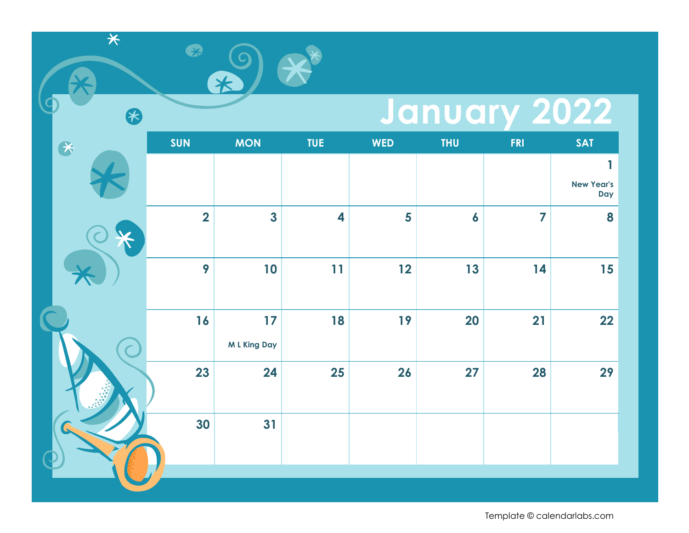#### **January 2022**

| $\bullet$ | <b>SUN</b>              | <b>MON</b>              | TUE                     | <b>WED</b> | <b>THU</b>       | <b>FRI</b>     | <b>SAT</b>               |
|-----------|-------------------------|-------------------------|-------------------------|------------|------------------|----------------|--------------------------|
|           |                         |                         |                         |            |                  |                | 1                        |
|           |                         |                         |                         |            |                  |                | <b>New Year's</b><br>Day |
|           | $\overline{\mathbf{2}}$ | $\overline{\mathbf{3}}$ | $\overline{\mathbf{4}}$ | 5          | $\boldsymbol{6}$ | $\overline{7}$ | 8                        |
|           | 9                       | 10                      | 11                      | 12         | 13               | 14             | 15                       |
|           | 16                      | 17                      | 18                      | 19         | <b>20</b>        | 21             | 22                       |
|           |                         | <b>ML King Day</b>      |                         |            |                  |                |                          |
|           | 23                      | 24                      | 25                      | 26         | 27               | 28             | 29                       |
|           | 30                      | 31                      |                         |            |                  |                |                          |
|           |                         |                         |                         |            |                  |                |                          |

 $\overline{\ast}$ 

8

 $\bullet$ 

米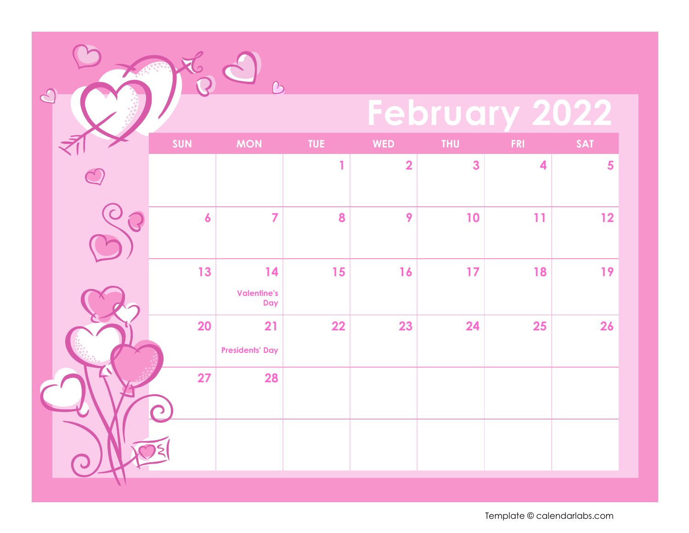# **February 2022**

|  | SUN              | <b>MON</b>                      | TUE          | <b>WED</b>              | <b>THU</b>   | FRI                     | <b>SAT</b> |
|--|------------------|---------------------------------|--------------|-------------------------|--------------|-------------------------|------------|
|  |                  |                                 | $\mathbf{1}$ | $\overline{\mathbf{2}}$ | $\mathbf{3}$ | $\overline{\mathbf{4}}$ | 5          |
|  | $\boldsymbol{6}$ | $\overline{7}$                  | 8            | 9                       | 10           | 11                      | 12         |
|  | 13               | 14<br><b>Valentine's</b><br>Day | 15           | 16                      | 17           | 18                      | 19         |
|  | <b>20</b>        | 21<br><b>Presidents' Day</b>    | 22           | 23                      | 24           | 25                      | 26         |
|  | 27               | 28                              |              |                         |              |                         |            |
|  |                  |                                 |              |                         |              |                         |            |

 $\overline{O}$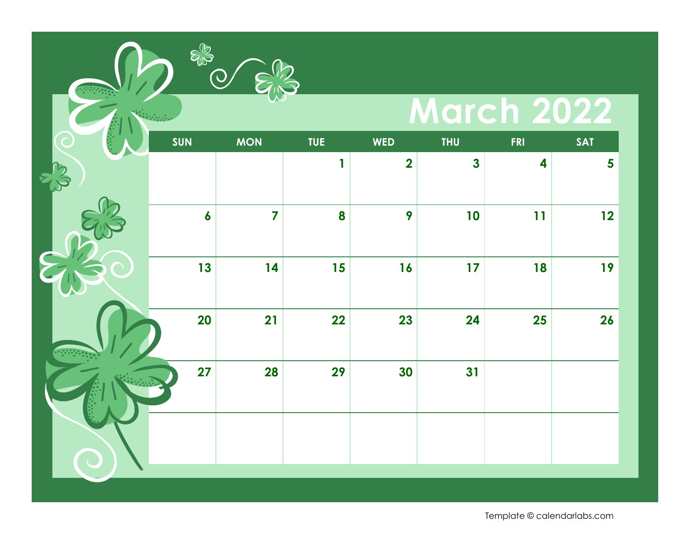## **March 2022**

| SUN              | <b>MON</b>     | TUE | <b>WED</b>              | <b>THU</b>   | <b>FRI</b>              | <b>SAT</b>              |
|------------------|----------------|-----|-------------------------|--------------|-------------------------|-------------------------|
|                  |                | 1   | $\overline{\mathbf{2}}$ | $\mathbf{3}$ | $\overline{\mathbf{4}}$ | $\overline{\mathbf{5}}$ |
| $\boldsymbol{6}$ | $\overline{7}$ | 8   | 9                       | 10           | 11                      | 12                      |
| 13               | 14             | 15  | 16                      | 17           | 18                      | 19                      |
| <b>20</b>        | 21             | 22  | 23                      | 24           | <b>25</b>               | 26                      |
| 27               | <b>28</b>      | 29  | 30                      | 31           |                         |                         |
|                  |                |     |                         |              |                         |                         |

ERS O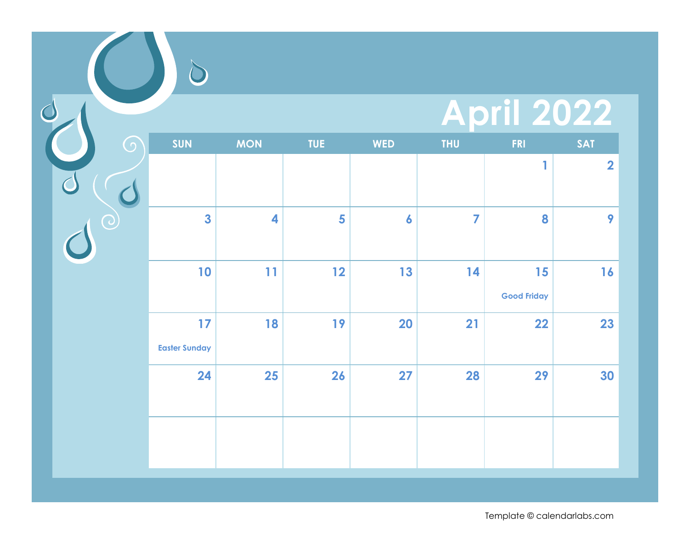## **April 2022**

| $\bigodot$ | <b>SUN</b>                 | <b>MON</b> | <b>TUE</b> | <b>WED</b>       | <b>THU</b>     | <b>FRI</b>               | <b>SAT</b>              |
|------------|----------------------------|------------|------------|------------------|----------------|--------------------------|-------------------------|
|            |                            |            |            |                  |                | 1                        | $\overline{\mathbf{2}}$ |
|            |                            |            |            |                  |                |                          |                         |
|            | $\overline{\mathbf{3}}$    | 4          | 5          | $\boldsymbol{6}$ | $\overline{7}$ | 8                        | 9                       |
|            | 10                         | 11         | 12         | 13               | 14             | 15<br><b>Good Friday</b> | 16                      |
|            | 17<br><b>Easter Sunday</b> | 18         | 19         | 20               | 21             | 22                       | 23                      |
|            | 24                         | 25         | 26         | 27               | 28             | 29                       | 30                      |
|            |                            |            |            |                  |                |                          |                         |

C

 $\overline{C}$ 

 $\bigcirc$ 

 $\overline{C}$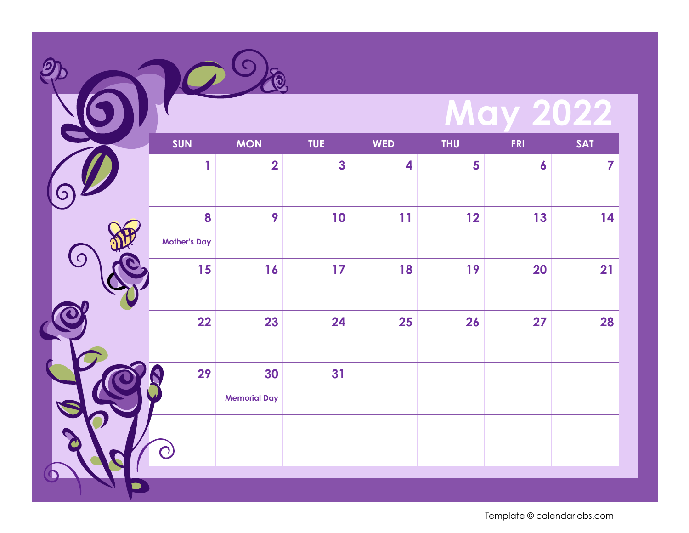| <b>May 2022</b> |  |
|-----------------|--|
|                 |  |

|                         | SUN                      | <b>MON</b>                | <b>TUE</b>              | <b>WED</b>              | <b>THU</b> | <b>FRI</b>       | <b>SAT</b>     |
|-------------------------|--------------------------|---------------------------|-------------------------|-------------------------|------------|------------------|----------------|
| $\overline{\mathbf{Z}}$ | 1                        | $\overline{\mathbf{2}}$   | $\overline{\mathbf{3}}$ | $\overline{\mathbf{4}}$ | 5          | $\boldsymbol{6}$ | $\overline{7}$ |
|                         | 8<br><b>Mother's Day</b> | 9                         | 10                      | 11                      | 12         | 13               | 14             |
| $\boldsymbol{0}$        | 15                       | 16                        | 17                      | 18                      | 19         | <b>20</b>        | 21             |
|                         | 22                       | 23                        | 24                      | 25                      | 26         | 27               | 28             |
|                         | 29                       | 30<br><b>Memorial Day</b> | 31                      |                         |            |                  |                |
|                         |                          |                           |                         |                         |            |                  |                |
|                         |                          |                           |                         |                         |            |                  |                |

Q

 $\mathcal{Q}$ 

6

 $\big($ 

Z

 $\overline{\mathbf{O}}$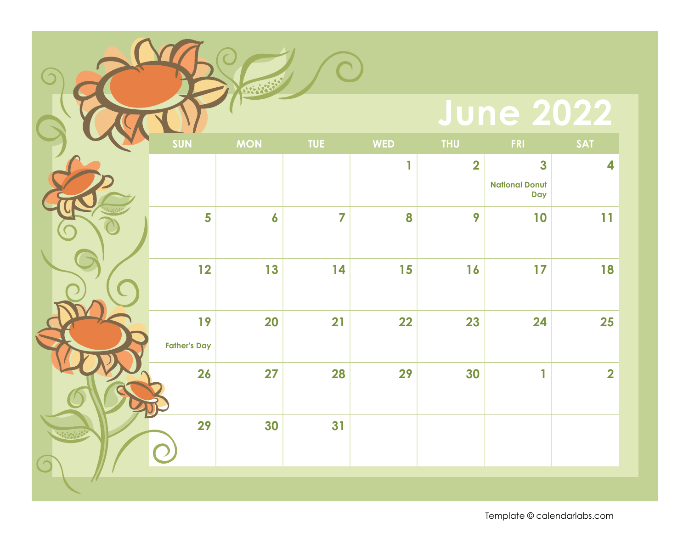#### **June 2022**

| SUN                       | <b>MON</b> | <b>TUE</b>     | <b>WED</b> | <b>THU</b>              | <b>FRI</b>                                                     | <b>SAT</b>              |
|---------------------------|------------|----------------|------------|-------------------------|----------------------------------------------------------------|-------------------------|
|                           |            |                | 1          | $\overline{\mathbf{2}}$ | $\overline{\mathbf{3}}$<br><b>National Donut</b><br><b>Day</b> | $\overline{\mathbf{4}}$ |
| 5                         | 6          | $\overline{7}$ | 8          | 9                       | 10                                                             | 11                      |
| 12                        | 13         | 14             | 15         | 16                      | 17                                                             | 18                      |
| 19<br><b>Father's Day</b> | <b>20</b>  | 21             | 22         | 23                      | 24                                                             | 25                      |
| 26                        | 27         | 28             | 29         | 30                      | 1                                                              | $\overline{\mathbf{2}}$ |
| 29                        | 30         | 31             |            |                         |                                                                |                         |
|                           |            |                |            |                         |                                                                |                         |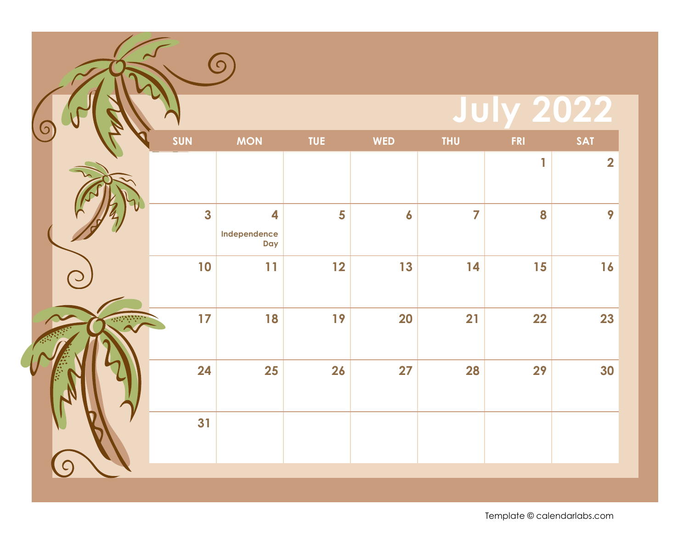|            |                         | $\Omega$                 |            |            |            |            |                         |
|------------|-------------------------|--------------------------|------------|------------|------------|------------|-------------------------|
|            |                         |                          |            |            |            |            |                         |
|            | SUN                     | <b>MON</b>               | <b>TUE</b> | <b>WED</b> | <b>THU</b> | <b>FRI</b> | <b>SAT</b>              |
|            |                         |                          |            |            |            | 1          | $\overline{\mathbf{2}}$ |
|            | $\overline{\mathbf{3}}$ | 4<br>Independence<br>Day | 5          | 6          | 7          | 8          | 9                       |
| $\bigcirc$ | 10                      | 11                       | 12         | 13         | 14         | 15         | 16                      |
|            | 17                      | 18                       | 19         | 20         | 21         | 22         | 23                      |
|            | 24                      | 25                       | 26         | 27         | 28         | 29         | 30                      |
|            | 31                      |                          |            |            |            |            |                         |
|            |                         |                          |            |            |            |            | <b>July 2022</b>        |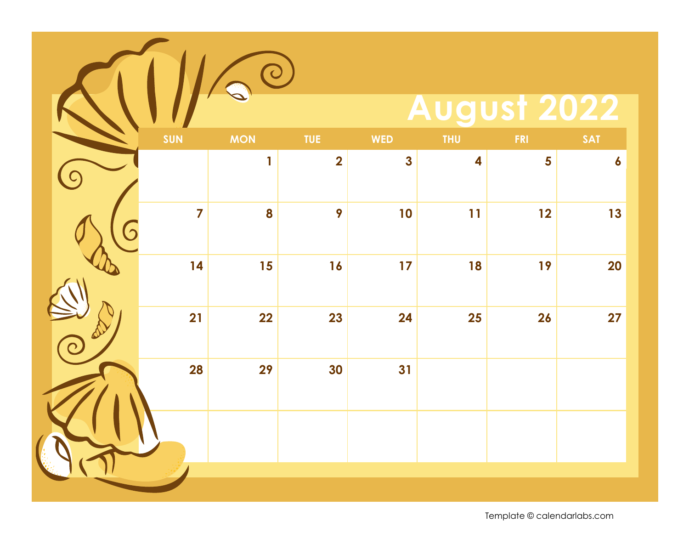|                | $\bigcirc$   |                         |              |                    |            |                  |
|----------------|--------------|-------------------------|--------------|--------------------|------------|------------------|
|                |              |                         |              | <b>August 2022</b> |            |                  |
| SUN            | <b>MON</b>   | <b>TUE</b>              | <b>WED</b>   | <b>THU</b>         | <b>FRI</b> | <b>SAT</b>       |
|                | $\mathbf{1}$ | $\overline{\mathbf{2}}$ | $\mathbf{3}$ | 4                  | 5          | $\boldsymbol{6}$ |
| $\overline{7}$ | 8            | 9                       | 10           | 11                 | 12         | 13               |
| 14             | 15           | 16                      | 17           | 18                 | 19         | <b>20</b>        |
| 21             | 22           | 23                      | 24           | 25                 | 26         | 27               |
| <b>28</b>      | 29           | 30                      | 31           |                    |            |                  |
|                |              |                         |              |                    |            |                  |
|                |              |                         |              |                    |            |                  |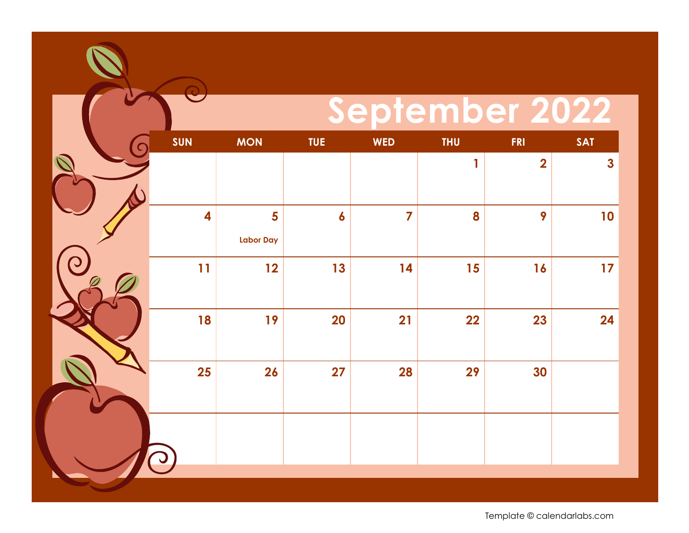## **September 2022**

| C          | SUN                     | <b>MON</b>       | TUE              | <b>WED</b>              | <b>THU</b> | <b>FRI</b>              | <b>SAT</b>   |
|------------|-------------------------|------------------|------------------|-------------------------|------------|-------------------------|--------------|
|            |                         |                  |                  |                         | 1          | $\overline{\mathbf{2}}$ | $\mathbf{3}$ |
|            |                         |                  |                  |                         |            |                         |              |
|            | $\overline{\mathbf{4}}$ | 5                | $\boldsymbol{6}$ | $\overline{\mathbf{z}}$ | 8          | 9                       | 10           |
|            |                         | <b>Labor Day</b> |                  |                         |            |                         |              |
| $\bigcirc$ | 11                      | 12               | 13               | 14                      | 15         | 16                      | 17           |
|            |                         |                  |                  |                         |            |                         |              |
|            | 18                      | 19               | <b>20</b>        | 21                      | 22         | 23                      | 24           |
|            | <b>25</b>               | 26               | 27               | <b>28</b>               | 29         | 30                      |              |
|            |                         |                  |                  |                         |            |                         |              |
|            |                         |                  |                  |                         |            |                         |              |
|            |                         |                  |                  |                         |            |                         |              |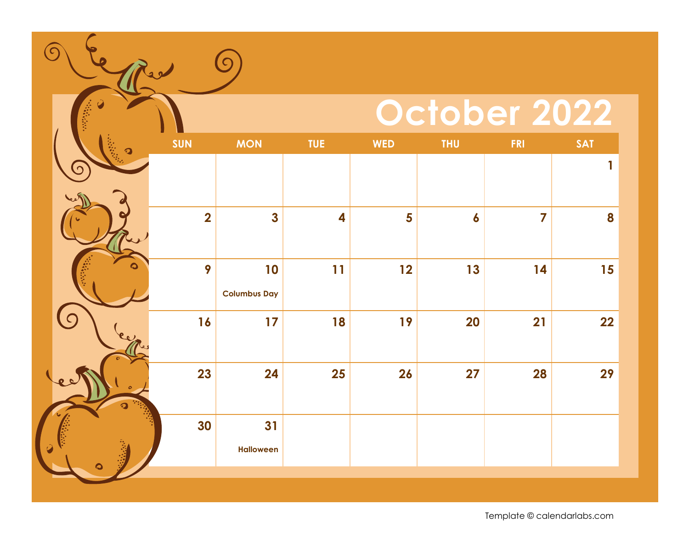## **October 2022**

| $\Omega$ | SUN            | <b>MON</b>                | TUE                     | <b>WED</b> | <b>THU</b>       | <b>FRI</b>     | <b>SAT</b>   |
|----------|----------------|---------------------------|-------------------------|------------|------------------|----------------|--------------|
| $\Omega$ |                |                           |                         |            |                  |                | $\mathbf{1}$ |
|          | $\overline{2}$ | $\overline{\mathbf{3}}$   | $\overline{\mathbf{4}}$ | 5          | $\boldsymbol{6}$ | $\overline{7}$ | 8            |
|          | 9              | 10<br><b>Columbus Day</b> | 11                      | 12         | 13               | 14             | 15           |
|          | 16             | 17                        | 18                      | 19         | 20               | 21             | 22           |
|          | 23             | 24                        | <b>25</b>               | 26         | 27               | 28             | 29           |
|          | 30             | 31<br><b>Halloween</b>    |                         |            |                  |                |              |
|          |                |                           |                         |            |                  |                |              |

<u>(၅</u>

 $\left(\circ\right)$ 

eps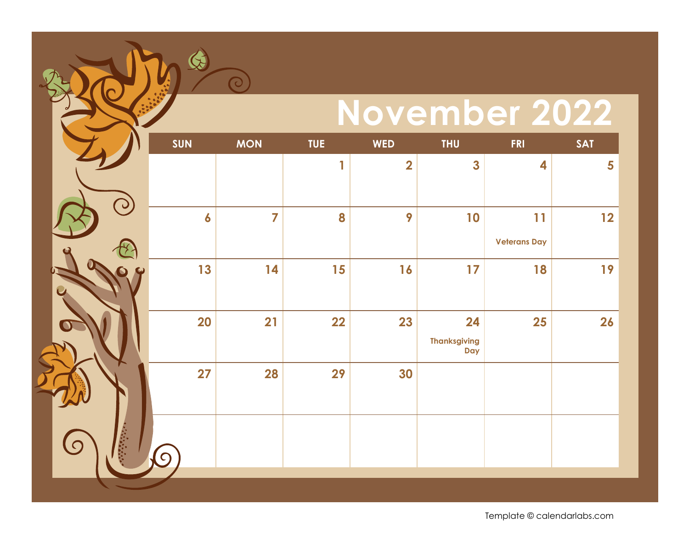## **November 2022**

|    | <b>SUN</b> | <b>MON</b>     | <b>TUE</b> | <b>WED</b>              | <b>THU</b>                       | <b>FRI</b>                | <b>SAT</b> |
|----|------------|----------------|------------|-------------------------|----------------------------------|---------------------------|------------|
|    |            |                | 1          | $\overline{\mathbf{2}}$ | $\mathbf{3}$                     | 4                         | 5          |
| ္ပ | 6          | $\overline{7}$ | 8          | 9                       | 10                               | 11<br><b>Veterans Day</b> | 12         |
|    | 13         | 14             | 15         | 16                      | 17                               | 18                        | 19         |
|    | <b>20</b>  | 21             | 22         | 23                      | 24<br><b>Thanksgiving</b><br>Day | 25                        | 26         |
|    | 27         | 28             | 29         | 30                      |                                  |                           |            |
| 泰  | $\bigcap$  |                |            |                         |                                  |                           |            |
|    |            |                |            |                         |                                  |                           |            |

 $\bigcirc$ 

 $\overline{\mathcal{O}}$ 

**C**